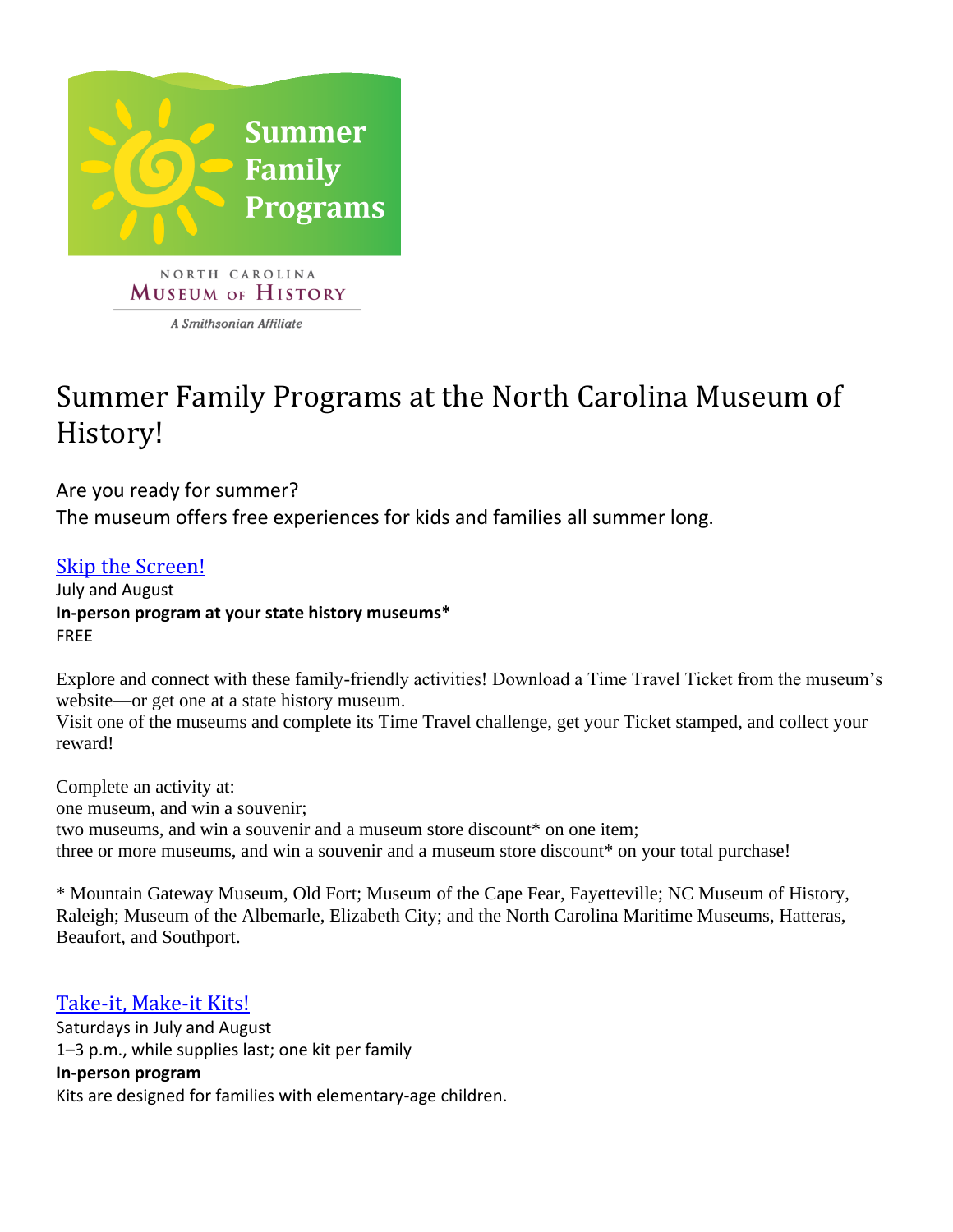

MUSEUM OF HISTORY

A Smithsonian Affiliate

# Summer Family Programs at the North Carolina Museum of History!

Are you ready for summer? The museum offers free experiences for kids and families all summer long.

## [Skip the Screen!](https://www.ncmuseumofhistory.org/skip-the-screen)

July and August **In-person program at your state history museums\*** FREE

Explore and connect with these family-friendly activities! Download a Time Travel Ticket from the museum's website—or get one at a state history museum.

Visit one of the museums and complete its Time Travel challenge, get your Ticket stamped, and collect your reward!

Complete an activity at: one museum, and win a souvenir; two museums, and win a souvenir and a museum store discount\* on one item; three or more museums, and win a souvenir and a museum store discount\* on your total purchase!

\* Mountain Gateway Museum, Old Fort; Museum of the Cape Fear, Fayetteville; NC Museum of History, Raleigh; Museum of the Albemarle, Elizabeth City; and the North Carolina Maritime Museums, Hatteras, Beaufort, and Southport.

### [Take-it, Make-it Kits!](https://www.ncmuseumofhistory.org/events/kids-and-family-events)

Saturdays in July and August 1–3 p.m., while supplies last; one kit per family **In-person program** Kits are designed for families with elementary-age children.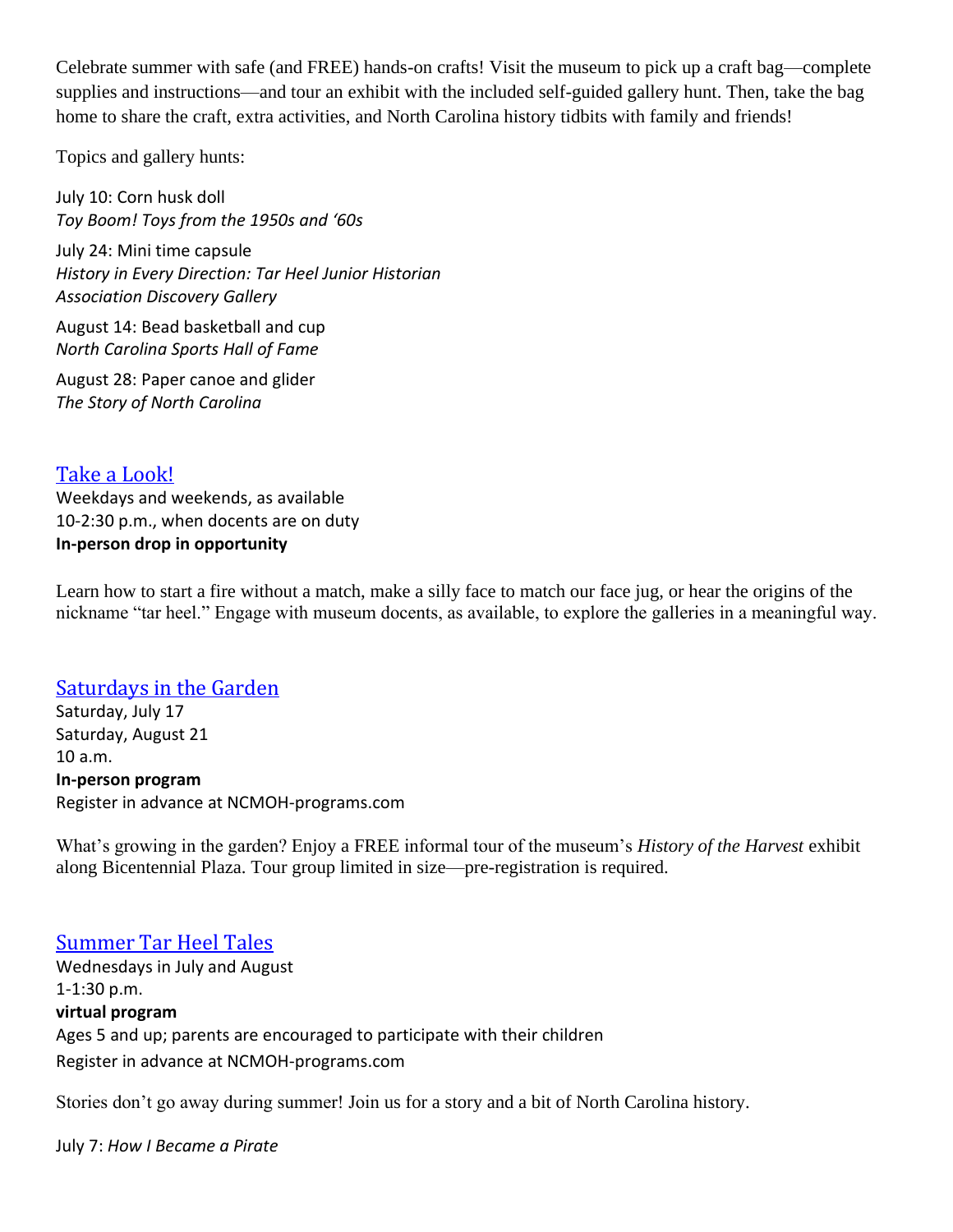Celebrate summer with safe (and FREE) hands-on crafts! Visit the museum to pick up a craft bag—complete supplies and instructions—and tour an exhibit with the included self-guided gallery hunt. Then, take the bag home to share the craft, extra activities, and North Carolina history tidbits with family and friends!

Topics and gallery hunts:

July 10: Corn husk doll *Toy Boom! Toys from the 1950s and '60s*

July 24: Mini time capsule *History in Every Direction: Tar Heel Junior Historian Association Discovery Gallery*

August 14: Bead basketball and cup *North Carolina Sports Hall of Fame*

August 28: Paper canoe and glider *The Story of North Carolina*

[Take a Look!](https://www.ncmuseumofhistory.org/events/kids-and-family-events) Weekdays and weekends, as available 10-2:30 p.m., when docents are on duty **In-person drop in opportunity**

Learn how to start a fire without a match, make a silly face to match our face jug, or hear the origins of the nickname "tar heel." Engage with museum docents, as available, to explore the galleries in a meaningful way.

#### [Saturdays in the Garden](https://www.ncmuseumofhistory.org/events/kids-and-family-events)

Saturday, July 17 Saturday, August 21 10 a.m. **In-person program** Register in advance at NCMOH-programs.com

What's growing in the garden? Enjoy a FREE informal tour of the museum's *History of the Harvest* exhibit along Bicentennial Plaza. Tour group limited in size—pre-registration is required.

#### [Summer Tar Heel Tales](https://www.ncmuseumofhistory.org/events/kids-and-family-events)

Wednesdays in July and August 1-1:30 p.m. **virtual program** Ages 5 and up; parents are encouraged to participate with their children Register in advance at NCMOH-programs.com

Stories don't go away during summer! Join us for a story and a bit of North Carolina history.

July 7: *How I Became a Pirate*